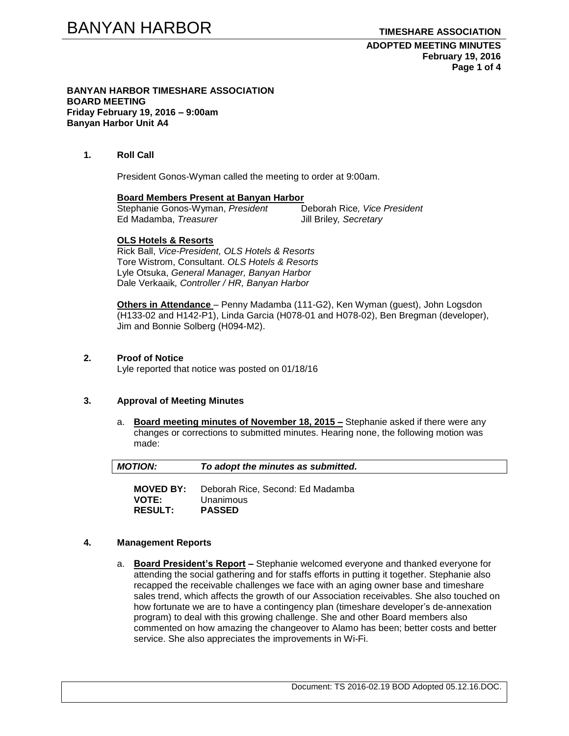### **ADOPTED MEETING MINUTES February 19, 2016 Page 1 of 4**

#### **BANYAN HARBOR TIMESHARE ASSOCIATION BOARD MEETING Friday February 19, 2016 – 9:00am Banyan Harbor Unit A4**

## **1. Roll Call**

President Gonos-Wyman called the meeting to order at 9:00am.

### **Board Members Present at Banyan Harbor**

Stephanie Gonos-Wyman, *President* Deborah Rice*, Vice President* Ed Madamba, *Treasurer* Jill Briley*, Secretary*

## **OLS Hotels & Resorts**

Rick Ball, *Vice-President, OLS Hotels & Resorts* Tore Wistrom, Consultant. *OLS Hotels & Resorts* Lyle Otsuka, *General Manager, Banyan Harbor* Dale Verkaaik*, Controller / HR, Banyan Harbor*

**Others in Attendance** – Penny Madamba (111-G2), Ken Wyman (guest), John Logsdon (H133-02 and H142-P1), Linda Garcia (H078-01 and H078-02), Ben Bregman (developer), Jim and Bonnie Solberg (H094-M2).

## **2. Proof of Notice**

Lyle reported that notice was posted on 01/18/16

## **3. Approval of Meeting Minutes**

a. **Board meeting minutes of November 18, 2015 –** Stephanie asked if there were any changes or corrections to submitted minutes. Hearing none, the following motion was made:

| <b>MOTION:</b> | To adopt the minutes as submitted. |
|----------------|------------------------------------|
|                |                                    |
| MOVED RY.      | Deborah Rice, Second: Ed Madamba   |

**MOVED BY:** Deborah Rice, Second: Ed Madamba **VOTE:** Unanimous **RESULT: PASSED**

## **4. Management Reports**

a. **Board President's Report –** Stephanie welcomed everyone and thanked everyone for attending the social gathering and for staffs efforts in putting it together. Stephanie also recapped the receivable challenges we face with an aging owner base and timeshare sales trend, which affects the growth of our Association receivables. She also touched on how fortunate we are to have a contingency plan (timeshare developer's de-annexation program) to deal with this growing challenge. She and other Board members also commented on how amazing the changeover to Alamo has been; better costs and better service. She also appreciates the improvements in Wi-Fi.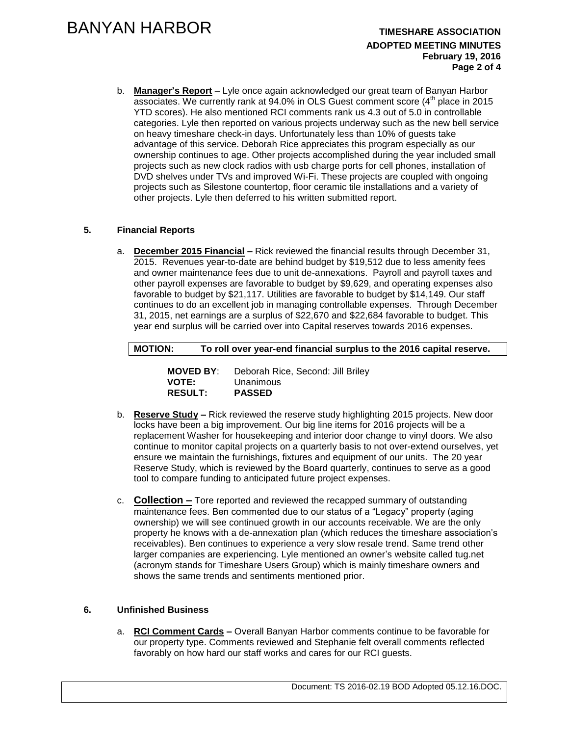### **ADOPTED MEETING MINUTES February 19, 2016 Page 2 of 4**

b. **Manager's Report** – Lyle once again acknowledged our great team of Banyan Harbor associates. We currently rank at 94.0% in OLS Guest comment score (4<sup>th</sup> place in 2015 YTD scores). He also mentioned RCI comments rank us 4.3 out of 5.0 in controllable categories. Lyle then reported on various projects underway such as the new bell service on heavy timeshare check-in days. Unfortunately less than 10% of guests take advantage of this service. Deborah Rice appreciates this program especially as our ownership continues to age. Other projects accomplished during the year included small projects such as new clock radios with usb charge ports for cell phones, installation of DVD shelves under TVs and improved Wi-Fi. These projects are coupled with ongoing projects such as Silestone countertop, floor ceramic tile installations and a variety of other projects. Lyle then deferred to his written submitted report.

# **5. Financial Reports**

a. **December 2015 Financial –** Rick reviewed the financial results through December 31, 2015. Revenues year-to-date are behind budget by \$19,512 due to less amenity fees and owner maintenance fees due to unit de-annexations. Payroll and payroll taxes and other payroll expenses are favorable to budget by \$9,629, and operating expenses also favorable to budget by \$21,117. Utilities are favorable to budget by \$14,149. Our staff continues to do an excellent job in managing controllable expenses. Through December 31, 2015, net earnings are a surplus of \$22,670 and \$22,684 favorable to budget. This year end surplus will be carried over into Capital reserves towards 2016 expenses.

**MOTION: To roll over year-end financial surplus to the 2016 capital reserve.**

| <b>MOVED BY:</b> | Deborah Rice, Second: Jill Briley |
|------------------|-----------------------------------|
| <b>VOTE:</b>     | Unanimous                         |
| <b>RESULT:</b>   | <b>PASSED</b>                     |

- b. **Reserve Study –** Rick reviewed the reserve study highlighting 2015 projects. New door locks have been a big improvement. Our big line items for 2016 projects will be a replacement Washer for housekeeping and interior door change to vinyl doors. We also continue to monitor capital projects on a quarterly basis to not over-extend ourselves, yet ensure we maintain the furnishings, fixtures and equipment of our units. The 20 year Reserve Study, which is reviewed by the Board quarterly, continues to serve as a good tool to compare funding to anticipated future project expenses.
- c. **Collection –** Tore reported and reviewed the recapped summary of outstanding maintenance fees. Ben commented due to our status of a "Legacy" property (aging ownership) we will see continued growth in our accounts receivable. We are the only property he knows with a de-annexation plan (which reduces the timeshare association's receivables). Ben continues to experience a very slow resale trend. Same trend other larger companies are experiencing. Lyle mentioned an owner's website called tug.net (acronym stands for Timeshare Users Group) which is mainly timeshare owners and shows the same trends and sentiments mentioned prior.

# **6. Unfinished Business**

a. **RCI Comment Cards –** Overall Banyan Harbor comments continue to be favorable for our property type. Comments reviewed and Stephanie felt overall comments reflected favorably on how hard our staff works and cares for our RCI guests.

Document: TS 2016-02.19 BOD Adopted 05.12.16.DOC.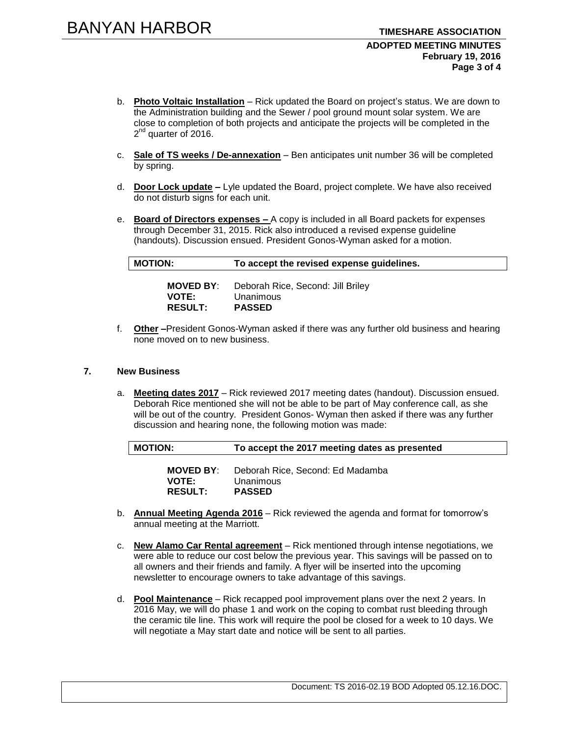### **ADOPTED MEETING MINUTES February 19, 2016 Page 3 of 4**

- b. **Photo Voltaic Installation** Rick updated the Board on project's status. We are down to the Administration building and the Sewer / pool ground mount solar system. We are close to completion of both projects and anticipate the projects will be completed in the 2<sup>nd</sup> quarter of 2016.
- c. **Sale of TS weeks / De-annexation** Ben anticipates unit number 36 will be completed by spring.
- d. **Door Lock update –** Lyle updated the Board, project complete. We have also received do not disturb signs for each unit.
- e. **Board of Directors expenses –** A copy is included in all Board packets for expenses through December 31, 2015. Rick also introduced a revised expense guideline (handouts). Discussion ensued. President Gonos-Wyman asked for a motion.

**MOTION: To accept the revised expense guidelines.** 

| <b>MOVED BY:</b> | Deborah Rice, Second: Jill Briley |
|------------------|-----------------------------------|
| <b>VOTE:</b>     | Unanimous                         |
| <b>RESULT:</b>   | <b>PASSED</b>                     |

f. **Other –**President Gonos-Wyman asked if there was any further old business and hearing none moved on to new business.

### **7. New Business**

a. **Meeting dates 2017** – Rick reviewed 2017 meeting dates (handout). Discussion ensued. Deborah Rice mentioned she will not be able to be part of May conference call, as she will be out of the country. President Gonos- Wyman then asked if there was any further discussion and hearing none, the following motion was made:

| To accept the 2017 meeting dates as presented |
|-----------------------------------------------|
|-----------------------------------------------|

| <b>MOVED BY:</b> | Deborah Rice, Second: Ed Madamba |
|------------------|----------------------------------|
| <b>VOTE:</b>     | Unanimous                        |
| <b>RESULT:</b>   | <b>PASSED</b>                    |

- b. **Annual Meeting Agenda 2016** Rick reviewed the agenda and format for tomorrow's annual meeting at the Marriott.
- c. **New Alamo Car Rental agreement** Rick mentioned through intense negotiations, we were able to reduce our cost below the previous year. This savings will be passed on to all owners and their friends and family. A flyer will be inserted into the upcoming newsletter to encourage owners to take advantage of this savings.
- d. **Pool Maintenance** Rick recapped pool improvement plans over the next 2 years. In 2016 May, we will do phase 1 and work on the coping to combat rust bleeding through the ceramic tile line. This work will require the pool be closed for a week to 10 days. We will negotiate a May start date and notice will be sent to all parties.